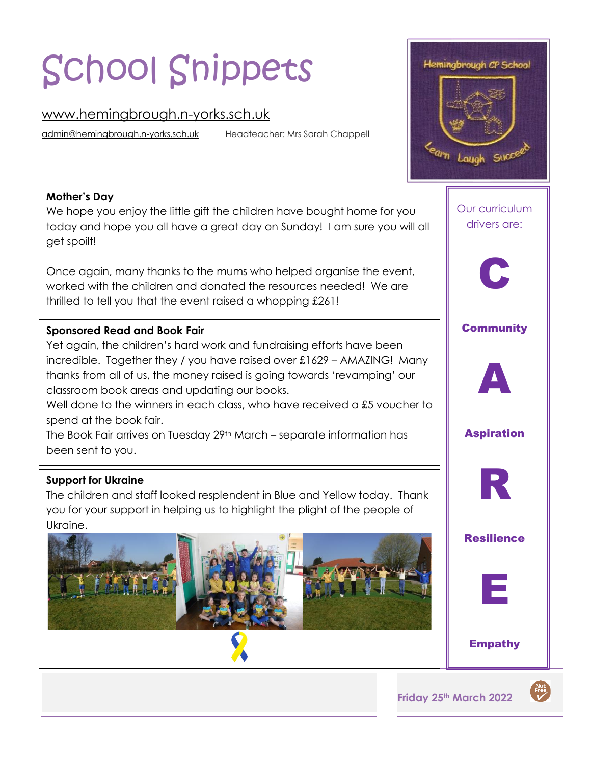# School Snippets

# [www.hemingbrough.n-yorks.sch.uk](http://www.hemingbrough.n-yorks.sch.uk/)

[admin@hemingbrough.n-yorks.sch.uk](mailto:admin@hemingbrough.n-yorks.sch.uk) Headteacher: Mrs Sarah Chappell



#### **Mother's Day**

We hope you enjoy the little gift the children have bought home for you today and hope you all have a great day on Sunday! I am sure you will all get spoilt!

Once again, many thanks to the mums who helped organise the event, worked with the children and donated the resources needed! We are thrilled to tell you that the event raised a whopping £261!

## **Sponsored Read and Book Fair**

Yet again, the children's hard work and fundraising efforts have been incredible. Together they / you have raised over £1629 – AMAZING! Many thanks from all of us, the money raised is going towards 'revamping' our classroom book areas and updating our books.

Well done to the winners in each class, who have received a £5 voucher to spend at the book fair.

The Book Fair arrives on Tuesday 29<sup>th</sup> March – separate information has been sent to you.

#### **Support for Ukraine**

The children and staff looked resplendent in Blue and Yellow today. Thank you for your support in helping us to highlight the plight of the people of Ukraine.



Our curriculum drivers are:



**Community** 



Aspiration



**Resilience** 



Empathy

**Friday 25th March 2022**